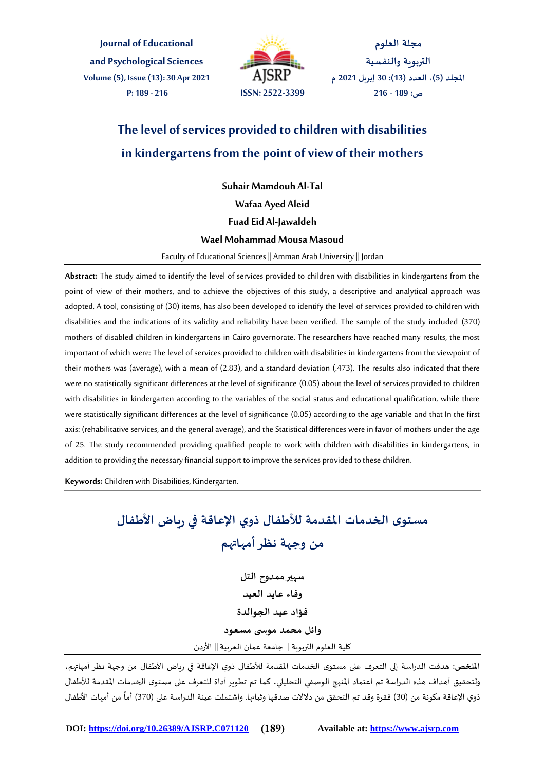**Journal of Educational and Psychological Sciences Volume(5), Issue(13): 30 Apr 2021 P: 189 - 216 ISSN: 2522-3399**



**مجلة العلوم التربوية والنفسية املجلد )5(، العدد )13(: 30 إبريل 2021 م ص: 189 - 216**

## **The level of services provided to children with disabilities in kindergartens from the point of view of their mothers**

**Suhair Mamdouh Al-Tal**

**Wafaa Ayed Aleid**

**Fuad Eid Al-Jawaldeh**

#### **Wael Mohammad Mousa Masoud**

Faculty of Educational Sciences || Amman Arab University || Jordan

**Abstract:** The study aimed to identify the level of services provided to children with disabilities in kindergartens from the point of view of their mothers, and to achieve the objectives of this study, a descriptive and analytical approach was adopted, A tool, consisting of (30) items, has also been developed to identify the level of services provided to children with disabilities and the indications of its validity and reliability have been verified. The sample of the study included (370) mothers of disabled children in kindergartens in Cairo governorate. The researchers have reached many results, the most important of which were:The level of services provided to children with disabilities in kindergartens from the viewpoint of their mothers was (average), with a mean of (2.83), and a standard deviation (.473). The results also indicated that there were no statistically significant differences at the level of significance (0.05) about the level of services provided to children with disabilities in kindergarten according to the variables of the social status and educational qualification, while there were statistically significant differences at the level of significance (0.05) according to the age variable and that In the first axis: (rehabilitative services, and the general average), and the Statistical differences were in favor of mothers under the age of 25. The study recommended providing qualified people to work with children with disabilities in kindergartens, in addition to providing the necessary financial support to improve the services provided to these children.

**Keywords:** Children with Disabilities, Kindergarten.

# **مستوى الخدمات املقدمة لألطفال ذوي اإلعاقة في رياض األطفال من وجهة نظر أمهاتهم**

**سهير ممدوح التل وفاء عايد العيد فؤاد عيد الجوالدة وائل محمد موس ى مسعود** كلية العلوم التربوية|| جامعة عمان العربية|| األردن

**امللخص:** هدفت الدراسة إلى التعرف على مستوى الخدمات املقدمة لألطفال ذوي اإلعاقة في رياض األطفال من وجهة نظر أمهاتهم، ولتحقيق أهداف هذه الدراسة تم اعتماد املنهج الوصفي التحليلي، كما تم تطوير أداة للتعرف على مستوى الخدمات املقدمة لألطفال ذوي الإعاقة مكونة من (30) فقرة وقد تم التحقق من دلالات صدقها وثباتها. واشتملت عينة الدراسة على (370) أماً من أمهات الأطفال ֧֦֧֦֧֦֧֦֧֦֧֦֧֝<br>֧֜֜֜֜֜֜֜֜֜֜֜֜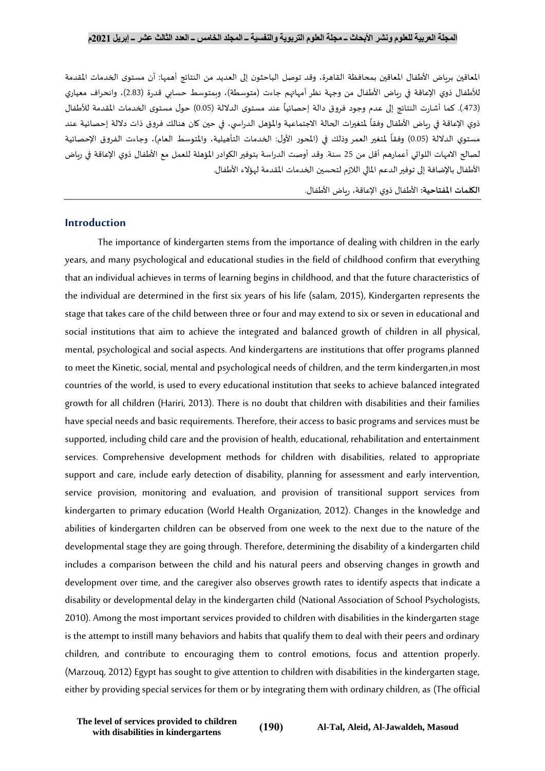املعاقين برياض األطفال املعاقين بمحافظة القاهرة، وقد توصل الباحثون إلى العديد من النتائج أهمها: أن مستوى الخدمات املقدمة للأطفال ذوي الإعاقة في رياض الأطفال من وجهة نظر أمهاتهم جاءت (متوسطة)، وبمتوسط حسابي قدرة (2.83)، وانحراف معياري (473.). كما أشارت النتائج إلى عدم وجود فروق دالة إحصائياً عند مستوى الدلالة (0.05) حول مستوى الخدمات المقدمة للأطفال ا<br>أ ذوي الإعاقة في رياض الأطفال وفقاً لمتغيرات الحالة الاجتماعية والمؤهل الدراسي، في حين كان هنالك فروق ذات دلالة إحصائية عند ŕ مستوي الدلالة (0.05) وفقاً لمتغير العمر وذلك في (المحور الأول: الخدمات التأهيلية، والمتوسط العام)، وجاءت الفروق الإحصائية ֧֧֦֧֧֦֧֧֧֦֧֧֧֦֧֦֧֧֦֧֝֝֟֓֕֓֜֜֓֓֜֓֜֓֜֓֜֓֜֓<br>׆ لصالح الامهات اللواتي أعمارهم أقل من 25 سنة. وقد أوصت الدراسة بتوفير الكوادر المؤهلة للعمل مع الأطفال ذوي الإعاقة في رباض الأطفال بالإضافة إلى توفير الدعم المالي اللازم لتحسين الخدمات المقدمة لهؤلاء الأطفال.

**الكلمات املفتاحية:** األطفال ذوي اإلعاقة، رياض األطفال.

#### **Introduction**

The importance of kindergarten stems from the importance of dealing with children in the early years, and many psychological and educational studies in the field of childhood confirm that everything that an individual achieves in terms of learning begins in childhood, and that the future characteristics of the individual are determined in the first six years of his life (salam, 2015), Kindergarten represents the stage that takes care of the child between three or four and may extend to six or seven in educational and social institutions that aim to achieve the integrated and balanced growth of children in all physical, mental, psychological and social aspects. And kindergartens are institutions that offer programs planned to meet the Kinetic, social, mental and psychological needs of children, and the term kindergarten,in most countries of the world, is used to every educational institution that seeks to achieve balanced integrated growth for all children (Hariri, 2013). There is no doubt that children with disabilities and their families have special needs and basic requirements. Therefore, their access to basic programs and services must be supported, including child care and the provision of health, educational, rehabilitation and entertainment services. Comprehensive development methods for children with disabilities, related to appropriate support and care, include early detection of disability, planning for assessment and early intervention, service provision, monitoring and evaluation, and provision of transitional support services from kindergarten to primary education (World Health Organization, 2012). Changes in the knowledge and abilities of kindergarten children can be observed from one week to the next due to the nature of the developmental stage they are going through.Therefore, determining the disability of a kindergarten child includes a comparison between the child and his natural peers and observing changes in growth and development over time, and the caregiver also observes growth rates to identify aspects that indicate a disability or developmental delay in the kindergarten child (National Association of School Psychologists, 2010). Among the most important services provided to children with disabilities in the kindergarten stage is the attempt to instill many behaviors and habits that qualify them to deal with their peers and ordinary children, and contribute to encouraging them to control emotions, focus and attention properly. (Marzouq, 2012) Egypt has sought to give attention to children with disabilities in the kindergarten stage, either by providing special services for them or by integrating them with ordinary children, as (The official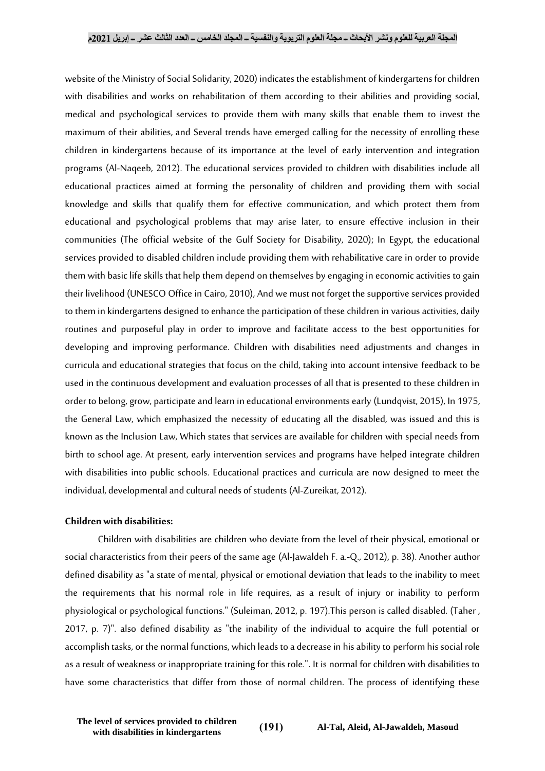website of the Ministry of Social Solidarity, 2020) indicates the establishment of kindergartens for children with disabilities and works on rehabilitation of them according to their abilities and providing social, medical and psychological services to provide them with many skills that enable them to invest the maximum of their abilities, and Several trends have emerged calling for the necessity of enrolling these children in kindergartens because of its importance at the level of early intervention and integration programs (Al-Naqeeb, 2012). The educational services provided to children with disabilities include all educational practices aimed at forming the personality of children and providing them with social knowledge and skills that qualify them for effective communication, and which protect them from educational and psychological problems that may arise later, to ensure effective inclusion in their communities (The official website of the Gulf Society for Disability, 2020); In Egypt, the educational services provided to disabled children include providing them with rehabilitative care in order to provide them with basic life skills that help them depend on themselves by engaging in economic activities to gain their livelihood (UNESCO Office in Cairo, 2010), And we must not forget the supportive services provided to them in kindergartens designed to enhance the participation of these children in various activities, daily routines and purposeful play in order to improve and facilitate access to the best opportunities for developing and improving performance. Children with disabilities need adjustments and changes in curricula and educational strategies that focus on the child, taking into account intensive feedback to be used in the continuous development and evaluation processes of all that is presented to these children in order to belong, grow, participate and learn in educational environments early (Lundqvist, 2015), In 1975, the General Law, which emphasized the necessity of educating all the disabled, was issued and this is known as the Inclusion Law, Which states that services are available for children with special needs from birth to school age. At present, early intervention services and programs have helped integrate children with disabilities into public schools. Educational practices and curricula are now designed to meet the individual, developmental and cultural needs of students (Al-Zureikat, 2012).

#### **Children with disabilities:**

Children with disabilities are children who deviate from the level of their physical, emotional or social characteristics from their peers of the same age (Al-Jawaldeh F. a.-Q., 2012), p. 38). Another author defined disability as "a state of mental, physical or emotional deviation that leads to the inability to meet the requirements that his normal role in life requires, as a result of injury or inability to perform physiological or psychological functions." (Suleiman, 2012, p. 197).This person is called disabled. (Taher , 2017, p. 7)". also defined disability as "the inability of the individual to acquire the full potential or accomplish tasks, or the normal functions, which leads to a decrease in his ability to perform his social role as a result of weakness or inappropriate training for this role.". It is normal for children with disabilities to have some characteristics that differ from those of normal children. The process of identifying these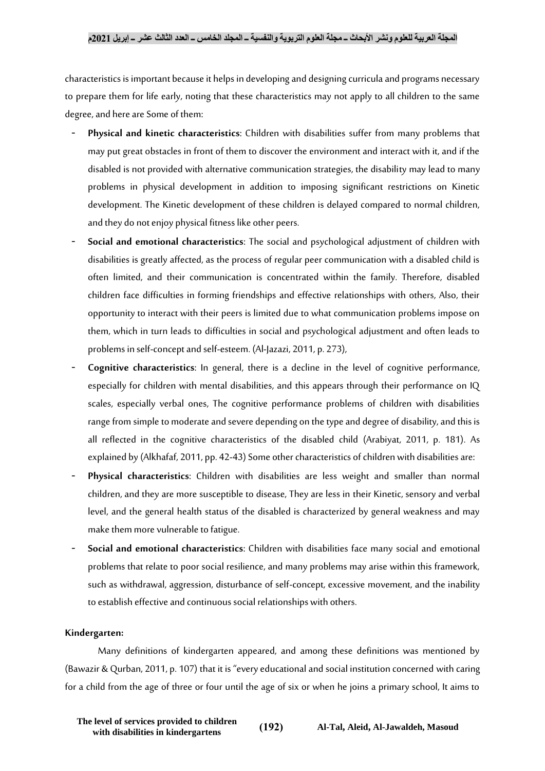characteristics is important because it helps in developing and designing curricula and programs necessary to prepare them for life early, noting that these characteristics may not apply to all children to the same degree, and here are Some of them:

- **Physical and kinetic characteristics**: Children with disabilities suffer from many problems that may put great obstacles in front of them to discover the environment and interact with it, and if the disabled is not provided with alternative communication strategies, the disability may lead to many problems in physical development in addition to imposing significant restrictions on Kinetic development. The Kinetic development of these children is delayed compared to normal children, and they do not enjoy physical fitness like other peers.
- **Social and emotional characteristics**: The social and psychological adjustment of children with disabilities is greatly affected, as the process of regular peer communication with a disabled child is often limited, and their communication is concentrated within the family. Therefore, disabled children face difficulties in forming friendships and effective relationships with others, Also, their opportunity to interact with their peers is limited due to what communication problems impose on them, which in turn leads to difficulties in social and psychological adjustment and often leads to problems in self-concept and self-esteem. (Al-Jazazi, 2011, p. 273),
- **Cognitive characteristics**: In general, there is a decline in the level of cognitive performance, especially for children with mental disabilities, and this appears through their performance on IQ scales, especially verbal ones, The cognitive performance problems of children with disabilities range from simple to moderate and severe depending on the type and degree of disability, and this is all reflected in the cognitive characteristics of the disabled child (Arabiyat, 2011, p. 181). As explained by (Alkhafaf, 2011, pp. 42-43) Some other characteristics of children with disabilities are:
- **Physical characteristics**: Children with disabilities are less weight and smaller than normal children, and they are more susceptible to disease, They are less in their Kinetic, sensory and verbal level, and the general health status of the disabled is characterized by general weakness and may make them more vulnerable to fatigue.
- **Social and emotional characteristics**: Children with disabilities face many social and emotional problems that relate to poor social resilience, and many problems may arise within this framework, such as withdrawal, aggression, disturbance of self-concept, excessive movement, and the inability to establish effective and continuous social relationships with others.

#### **Kindergarten:**

Many definitions of kindergarten appeared, and among these definitions was mentioned by (Bawazir & Qurban, 2011, p. 107) that it is "every educational and social institution concerned with caring for a child from the age of three or four until the age of six or when he joins a primary school, It aims to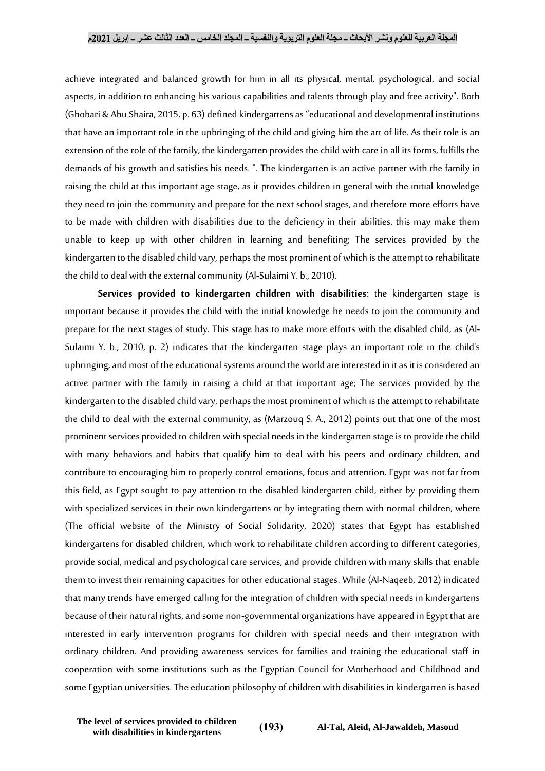achieve integrated and balanced growth for him in all its physical, mental, psychological, and social aspects, in addition to enhancing his various capabilities and talents through play and free activity". Both (Ghobari & Abu Shaira, 2015, p. 63) defined kindergartens as "educational and developmental institutions that have an important role in the upbringing of the child and giving him the art of life. As their role is an extension of the role of the family, the kindergarten provides the child with care in all its forms, fulfills the demands of his growth and satisfies his needs. ". The kindergarten is an active partner with the family in raising the child at this important age stage, as it provides children in general with the initial knowledge they need to join the community and prepare for the next school stages, and therefore more efforts have to be made with children with disabilities due to the deficiency in their abilities, this may make them unable to keep up with other children in learning and benefiting; The services provided by the kindergarten to the disabled child vary, perhaps the most prominent of which is the attempt to rehabilitate the child to deal with the external community (Al-Sulaimi Y. b., 2010).

**Services provided to kindergarten children with disabilities**: the kindergarten stage is important because it provides the child with the initial knowledge he needs to join the community and prepare for the next stages of study. This stage has to make more efforts with the disabled child, as (Al-Sulaimi Y. b., 2010, p. 2) indicates that the kindergarten stage plays an important role in the child's upbringing, and most of the educational systems around the world are interested in it as it is considered an active partner with the family in raising a child at that important age; The services provided by the kindergarten to the disabled child vary, perhaps the most prominent of which is the attempt to rehabilitate the child to deal with the external community, as (Marzouq S. A., 2012) points out that one of the most prominent services provided to children with special needs in the kindergarten stage is to provide the child with many behaviors and habits that qualify him to deal with his peers and ordinary children, and contribute to encouraging him to properly control emotions, focus and attention. Egypt was not far from this field, as Egypt sought to pay attention to the disabled kindergarten child, either by providing them with specialized services in their own kindergartens or by integrating them with normal children, where (The official website of the Ministry of Social Solidarity, 2020) states that Egypt has established kindergartens for disabled children, which work to rehabilitate children according to different categories, provide social, medical and psychological care services, and provide children with many skills that enable them to invest their remaining capacities for other educational stages. While (Al-Naqeeb, 2012) indicated that many trends have emerged calling for the integration of children with special needs in kindergartens because of their natural rights, and some non-governmental organizations have appeared in Egypt that are interested in early intervention programs for children with special needs and their integration with ordinary children. And providing awareness services for families and training the educational staff in cooperation with some institutions such as the Egyptian Council for Motherhood and Childhood and some Egyptian universities.The education philosophy of children with disabilities in kindergarten is based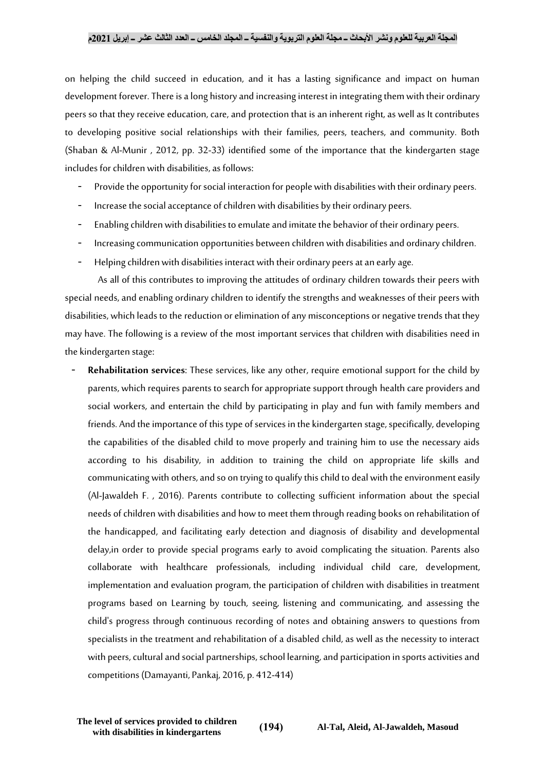on helping the child succeed in education, and it has a lasting significance and impact on human development forever.There is a long history and increasing interest in integrating them with their ordinary peers so that they receive education, care, and protection that is an inherent right, as well as It contributes to developing positive social relationships with their families, peers, teachers, and community. Both (Shaban & Al-Munir , 2012, pp. 32-33) identified some of the importance that the kindergarten stage includes for children with disabilities, as follows:

- Provide the opportunity for social interaction for people with disabilities with their ordinary peers.
- Increase the social acceptance of children with disabilities by their ordinary peers.
- Enabling children with disabilities to emulate and imitate the behavior of their ordinary peers.
- Increasing communication opportunities between children with disabilities and ordinary children.
- Helping children with disabilities interact with their ordinary peers at an early age.

As all of this contributes to improving the attitudes of ordinary children towards their peers with special needs, and enabling ordinary children to identify the strengths and weaknesses of their peers with disabilities, which leads to the reduction or elimination of any misconceptions or negative trends that they may have. The following is a review of the most important services that children with disabilities need in the kindergarten stage:

- **Rehabilitation services**: These services, like any other, require emotional support for the child by parents, which requires parents to search for appropriate support through health care providers and social workers, and entertain the child by participating in play and fun with family members and friends. And the importance of this type of services in the kindergarten stage, specifically, developing the capabilities of the disabled child to move properly and training him to use the necessary aids according to his disability, in addition to training the child on appropriate life skills and communicating with others, and so on trying to qualify this child to deal with the environment easily (Al-Jawaldeh F. , 2016). Parents contribute to collecting sufficient information about the special needs of children with disabilities and how to meet them through reading books on rehabilitation of the handicapped, and facilitating early detection and diagnosis of disability and developmental delay,in order to provide special programs early to avoid complicating the situation. Parents also collaborate with healthcare professionals, including individual child care, development, implementation and evaluation program, the participation of children with disabilities in treatment programs based on Learning by touch, seeing, listening and communicating, and assessing the child's progress through continuous recording of notes and obtaining answers to questions from specialists in the treatment and rehabilitation of a disabled child, as well as the necessity to interact with peers, cultural and social partnerships, school learning, and participation in sports activities and competitions (Damayanti, Pankaj, 2016, p. 412-414)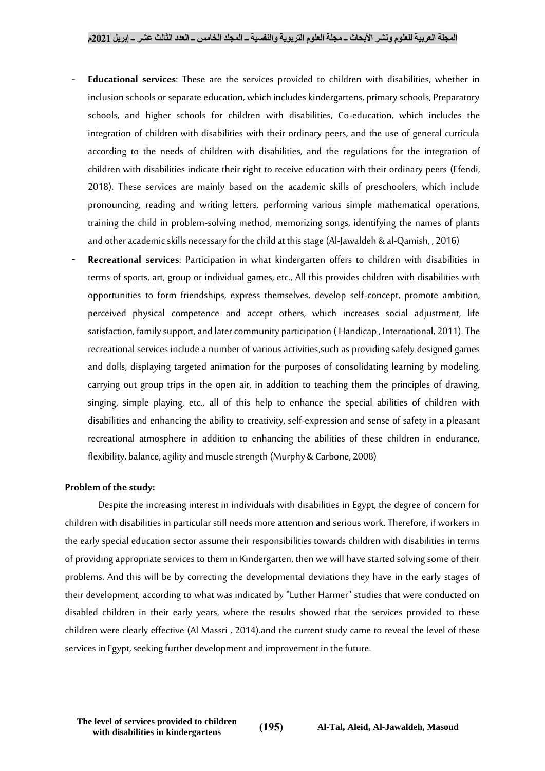- **Educational services**: These are the services provided to children with disabilities, whether in inclusion schools or separate education, which includes kindergartens, primary schools, Preparatory schools, and higher schools for children with disabilities, Co-education, which includes the integration of children with disabilities with their ordinary peers, and the use of general curricula according to the needs of children with disabilities, and the regulations for the integration of children with disabilities indicate their right to receive education with their ordinary peers (Efendi, 2018). These services are mainly based on the academic skills of preschoolers, which include pronouncing, reading and writing letters, performing various simple mathematical operations, training the child in problem-solving method, memorizing songs, identifying the names of plants and other academic skills necessary for the child at this stage (Al-Jawaldeh & al-Qamish, , 2016)
- **Recreational services**: Participation in what kindergarten offers to children with disabilities in terms of sports, art, group or individual games, etc., All this provides children with disabilities with opportunities to form friendships, express themselves, develop self-concept, promote ambition, perceived physical competence and accept others, which increases social adjustment, life satisfaction, family support, and later community participation ( Handicap , International, 2011). The recreational services include a number of various activities,such as providing safely designed games and dolls, displaying targeted animation for the purposes of consolidating learning by modeling, carrying out group trips in the open air, in addition to teaching them the principles of drawing, singing, simple playing, etc., all of this help to enhance the special abilities of children with disabilities and enhancing the ability to creativity, self-expression and sense of safety in a pleasant recreational atmosphere in addition to enhancing the abilities of these children in endurance, flexibility, balance, agility and muscle strength (Murphy & Carbone, 2008)

#### **Problem of the study:**

Despite the increasing interest in individuals with disabilities in Egypt, the degree of concern for children with disabilities in particular still needs more attention and serious work. Therefore, if workers in the early special education sector assume their responsibilities towards children with disabilities in terms of providing appropriate services to them in Kindergarten, then we will have started solving some of their problems. And this will be by correcting the developmental deviations they have in the early stages of their development, according to what was indicated by "Luther Harmer" studies that were conducted on disabled children in their early years, where the results showed that the services provided to these children were clearly effective (Al Massri , 2014).and the current study came to reveal the level of these services in Egypt, seeking further development and improvement in the future.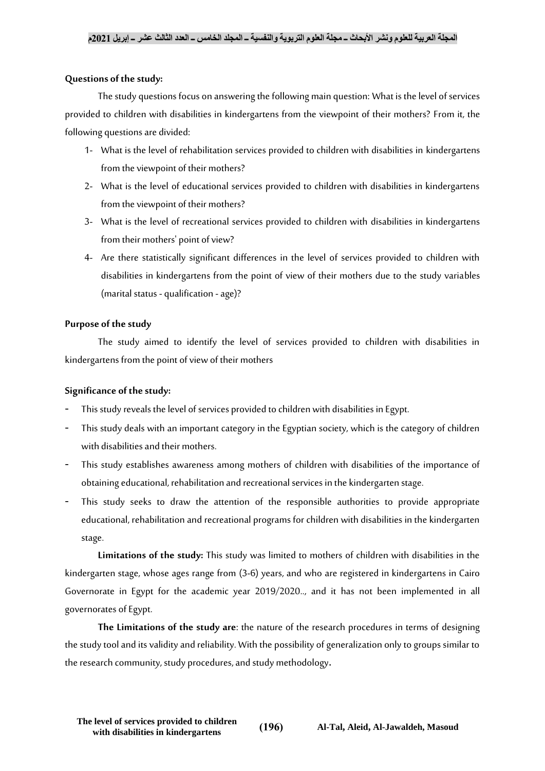#### **Questions of the study:**

The study questions focus on answering the following main question: What is the level of services provided to children with disabilities in kindergartens from the viewpoint of their mothers? From it, the following questions are divided:

- 1- What is the level of rehabilitation services provided to children with disabilities in kindergartens from the viewpoint of their mothers?
- 2- What is the level of educational services provided to children with disabilities in kindergartens from the viewpoint of their mothers?
- 3- What is the level of recreational services provided to children with disabilities in kindergartens from their mothers' point of view?
- 4- Are there statistically significant differences in the level of services provided to children with disabilities in kindergartens from the point of view of their mothers due to the study variables (marital status - qualification - age)?

#### **Purpose of the study**

The study aimed to identify the level of services provided to children with disabilities in kindergartens from the point of view of their mothers

## **Significance of the study:**

- This study reveals the level of services provided to children with disabilities in Egypt.
- This study deals with an important category in the Egyptian society, which is the category of children with disabilities and their mothers.
- This study establishes awareness among mothers of children with disabilities of the importance of obtaining educational, rehabilitation and recreational services in the kindergarten stage.
- This study seeks to draw the attention of the responsible authorities to provide appropriate educational, rehabilitation and recreational programs for children with disabilities in the kindergarten stage.

**Limitations of the study:** This study was limited to mothers of children with disabilities in the kindergarten stage, whose ages range from (3-6) years, and who are registered in kindergartens in Cairo Governorate in Egypt for the academic year 2019/2020.., and it has not been implemented in all governorates of Egypt.

**The Limitations of the study are**: the nature of the research procedures in terms of designing the study tool and its validity and reliability. With the possibility of generalization only to groups similar to the research community, study procedures, and study methodology**.**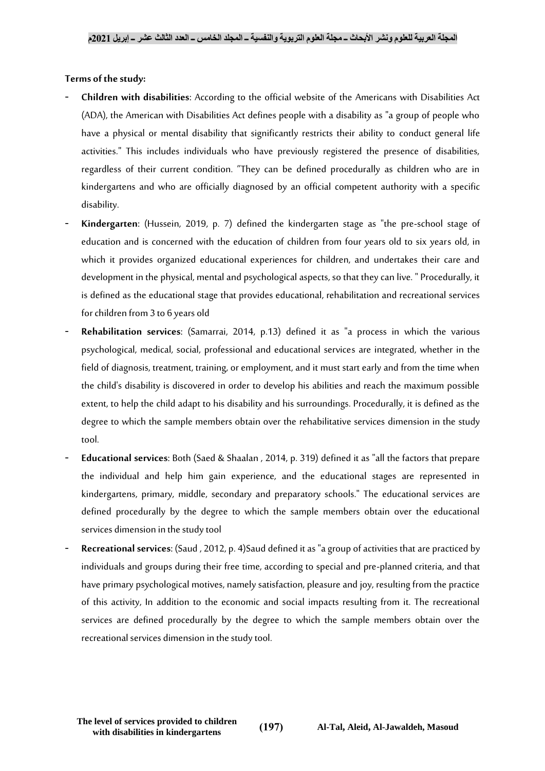#### **Terms of the study:**

- **Children with disabilities**: According to the official website of the Americans with Disabilities Act (ADA), the American with Disabilities Act defines people with a disability as "a group of people who have a physical or mental disability that significantly restricts their ability to conduct general life activities." This includes individuals who have previously registered the presence of disabilities, regardless of their current condition. "They can be defined procedurally as children who are in kindergartens and who are officially diagnosed by an official competent authority with a specific disability.
- **Kindergarten**: (Hussein, 2019, p. 7) defined the kindergarten stage as "the pre-school stage of education and is concerned with the education of children from four years old to six years old, in which it provides organized educational experiences for children, and undertakes their care and development in the physical, mental and psychological aspects, so that they can live. " Procedurally, it is defined as the educational stage that provides educational, rehabilitation and recreational services for children from 3 to 6 years old
- **Rehabilitation services**: (Samarrai, 2014, p.13) defined it as "a process in which the various psychological, medical, social, professional and educational services are integrated, whether in the field of diagnosis, treatment, training, or employment, and it must start early and from the time when the child's disability is discovered in order to develop his abilities and reach the maximum possible extent, to help the child adapt to his disability and his surroundings. Procedurally, it is defined as the degree to which the sample members obtain over the rehabilitative services dimension in the study tool.
- **Educational services**: Both (Saed & Shaalan , 2014, p. 319) defined it as "all the factors that prepare the individual and help him gain experience, and the educational stages are represented in kindergartens, primary, middle, secondary and preparatory schools." The educational services are defined procedurally by the degree to which the sample members obtain over the educational services dimension in the study tool
- **Recreational services**: (Saud , 2012, p. 4)Saud defined it as "a group of activities that are practiced by individuals and groups during their free time, according to special and pre-planned criteria, and that have primary psychological motives, namely satisfaction, pleasure and joy, resulting from the practice of this activity, In addition to the economic and social impacts resulting from it. The recreational services are defined procedurally by the degree to which the sample members obtain over the recreational services dimension in the study tool.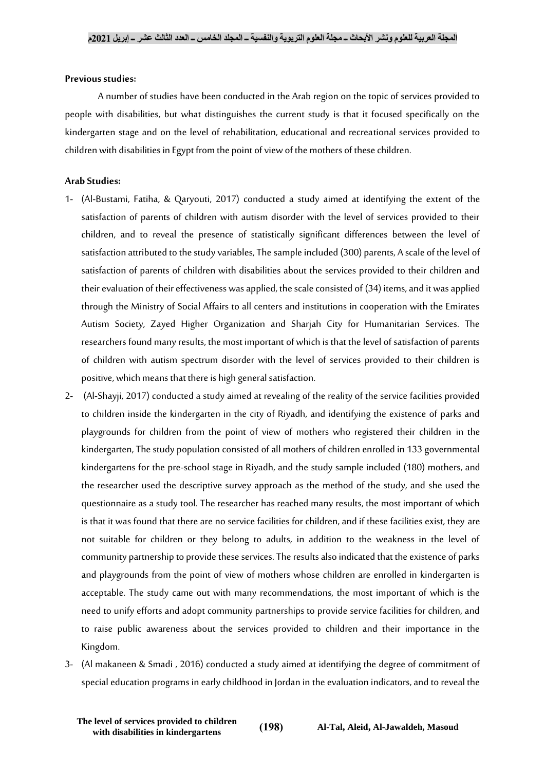#### **Previous studies:**

A number of studies have been conducted in the Arab region on the topic of services provided to people with disabilities, but what distinguishes the current study is that it focused specifically on the kindergarten stage and on the level of rehabilitation, educational and recreational services provided to children with disabilities in Egypt from the point of view of the mothers of these children.

#### **Arab Studies:**

- 1- (Al-Bustami, Fatiha, & Qaryouti, 2017) conducted a study aimed at identifying the extent of the satisfaction of parents of children with autism disorder with the level of services provided to their children, and to reveal the presence of statistically significant differences between the level of satisfaction attributed to the study variables, The sample included (300) parents, A scale of the level of satisfaction of parents of children with disabilities about the services provided to their children and their evaluation of their effectiveness was applied, the scale consisted of (34) items, and it was applied through the Ministry of Social Affairs to all centers and institutions in cooperation with the Emirates Autism Society, Zayed Higher Organization and Sharjah City for Humanitarian Services. The researchers found many results, the most important of which is that the level of satisfaction of parents of children with autism spectrum disorder with the level of services provided to their children is positive, which means that there is high general satisfaction.
- 2- (Al-Shayji, 2017) conducted a study aimed at revealing of the reality of the service facilities provided to children inside the kindergarten in the city of Riyadh, and identifying the existence of parks and playgrounds for children from the point of view of mothers who registered their children in the kindergarten, The study population consisted of all mothers of children enrolled in 133 governmental kindergartens for the pre-school stage in Riyadh, and the study sample included (180) mothers, and the researcher used the descriptive survey approach as the method of the study, and she used the questionnaire as a study tool. The researcher has reached many results, the most important of which is that it was found that there are no service facilities for children, and if these facilities exist, they are not suitable for children or they belong to adults, in addition to the weakness in the level of community partnership to provide these services. The results also indicated that the existence of parks and playgrounds from the point of view of mothers whose children are enrolled in kindergarten is acceptable. The study came out with many recommendations, the most important of which is the need to unify efforts and adopt community partnerships to provide service facilities for children, and to raise public awareness about the services provided to children and their importance in the Kingdom.
- 3- (Al makaneen & Smadi , 2016) conducted a study aimed at identifying the degree of commitment of special education programs in early childhood in Jordan in the evaluation indicators, and to reveal the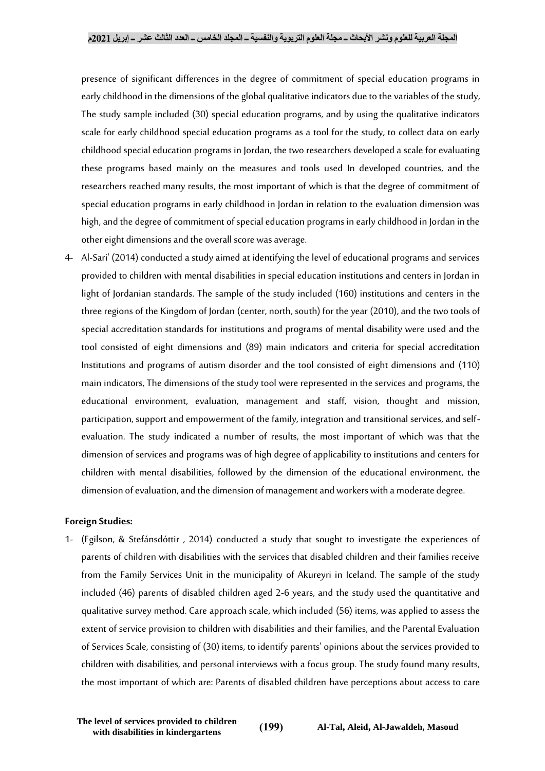presence of significant differences in the degree of commitment of special education programs in early childhood in the dimensions of the global qualitative indicators due to the variables of the study, The study sample included (30) special education programs, and by using the qualitative indicators scale for early childhood special education programs as a tool for the study, to collect data on early childhood special education programs in Jordan, the two researchers developed a scale for evaluating these programs based mainly on the measures and tools used In developed countries, and the researchers reached many results, the most important of which is that the degree of commitment of special education programs in early childhood in Jordan in relation to the evaluation dimension was high, and the degree of commitment of special education programs in early childhood in Jordan in the other eight dimensions and the overall score was average.

4- Al-Sari' (2014) conducted a study aimed at identifying the level of educational programs and services provided to children with mental disabilities in special education institutions and centers in Jordan in light of Jordanian standards. The sample of the study included (160) institutions and centers in the three regions of the Kingdom of Jordan (center, north, south) for the year (2010), and the two tools of special accreditation standards for institutions and programs of mental disability were used and the tool consisted of eight dimensions and (89) main indicators and criteria for special accreditation Institutions and programs of autism disorder and the tool consisted of eight dimensions and (110) main indicators, The dimensions of the study tool were represented in the services and programs, the educational environment, evaluation, management and staff, vision, thought and mission, participation, support and empowerment of the family, integration and transitional services, and selfevaluation. The study indicated a number of results, the most important of which was that the dimension of services and programs was of high degree of applicability to institutions and centers for children with mental disabilities, followed by the dimension of the educational environment, the dimension of evaluation, and the dimension of management and workers with a moderate degree.

#### **Foreign Studies:**

1- (Egilson, & Stefánsdóttir , 2014) conducted a study that sought to investigate the experiences of parents of children with disabilities with the services that disabled children and their families receive from the Family Services Unit in the municipality of Akureyri in Iceland. The sample of the study included (46) parents of disabled children aged 2-6 years, and the study used the quantitative and qualitative survey method. Care approach scale, which included (56) items, was applied to assess the extent of service provision to children with disabilities and their families, and the Parental Evaluation of Services Scale, consisting of (30) items, to identify parents' opinions about the services provided to children with disabilities, and personal interviews with a focus group. The study found many results, the most important of which are: Parents of disabled children have perceptions about access to care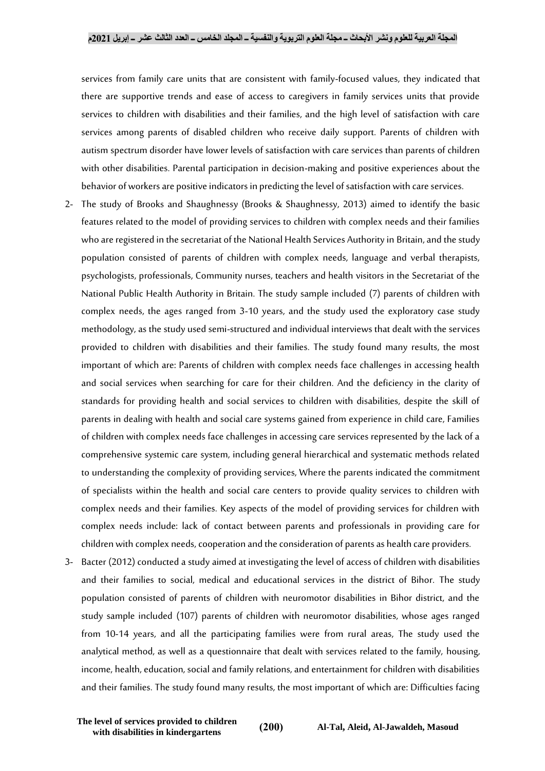services from family care units that are consistent with family-focused values, they indicated that there are supportive trends and ease of access to caregivers in family services units that provide services to children with disabilities and their families, and the high level of satisfaction with care services among parents of disabled children who receive daily support. Parents of children with autism spectrum disorder have lower levels of satisfaction with care services than parents of children with other disabilities. Parental participation in decision-making and positive experiences about the behavior of workers are positive indicators in predicting the level of satisfaction with care services.

- 2- The study of Brooks and Shaughnessy (Brooks & Shaughnessy, 2013) aimed to identify the basic features related to the model of providing services to children with complex needs and their families who are registered in the secretariat of the National Health Services Authority in Britain, and the study population consisted of parents of children with complex needs, language and verbal therapists, psychologists, professionals, Community nurses, teachers and health visitors in the Secretariat of the National Public Health Authority in Britain. The study sample included (7) parents of children with complex needs, the ages ranged from 3-10 years, and the study used the exploratory case study methodology, as the study used semi-structured and individual interviews that dealt with the services provided to children with disabilities and their families. The study found many results, the most important of which are: Parents of children with complex needs face challenges in accessing health and social services when searching for care for their children. And the deficiency in the clarity of standards for providing health and social services to children with disabilities, despite the skill of parents in dealing with health and social care systems gained from experience in child care, Families of children with complex needs face challenges in accessing care services represented by the lack of a comprehensive systemic care system, including general hierarchical and systematic methods related to understanding the complexity of providing services, Where the parents indicated the commitment of specialists within the health and social care centers to provide quality services to children with complex needs and their families. Key aspects of the model of providing services for children with complex needs include: lack of contact between parents and professionals in providing care for children with complex needs, cooperation and the consideration of parents as health care providers.
- 3- Bacter (2012) conducted a study aimed at investigating the level of access of children with disabilities and their families to social, medical and educational services in the district of Bihor. The study population consisted of parents of children with neuromotor disabilities in Bihor district, and the study sample included (107) parents of children with neuromotor disabilities, whose ages ranged from 10-14 years, and all the participating families were from rural areas, The study used the analytical method, as well as a questionnaire that dealt with services related to the family, housing, income, health, education, social and family relations, and entertainment for children with disabilities and their families. The study found many results, the most important of which are: Difficulties facing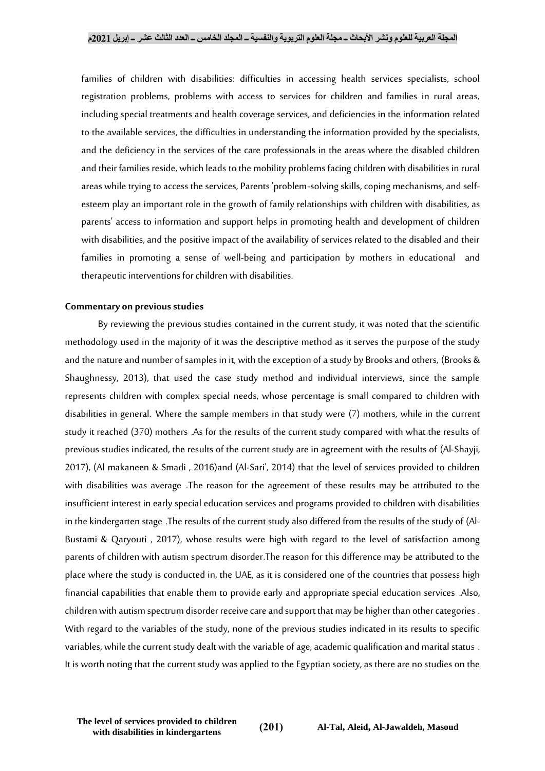families of children with disabilities: difficulties in accessing health services specialists, school registration problems, problems with access to services for children and families in rural areas, including special treatments and health coverage services, and deficiencies in the information related to the available services, the difficulties in understanding the information provided by the specialists, and the deficiency in the services of the care professionals in the areas where the disabled children and their families reside, which leads to the mobility problems facing children with disabilities in rural areas while trying to access the services, Parents 'problem-solving skills, coping mechanisms, and selfesteem play an important role in the growth of family relationships with children with disabilities, as parents' access to information and support helps in promoting health and development of children with disabilities, and the positive impact of the availability of services related to the disabled and their families in promoting a sense of well-being and participation by mothers in educational and therapeutic interventions for children with disabilities.

#### **Commentary on previous studies**

By reviewing the previous studies contained in the current study, it was noted that the scientific methodology used in the majority of it was the descriptive method as it serves the purpose of the study and the nature and number of samples in it, with the exception of a study by Brooks and others, (Brooks & Shaughnessy, 2013), that used the case study method and individual interviews, since the sample represents children with complex special needs, whose percentage is small compared to children with disabilities in general. Where the sample members in that study were (7) mothers, while in the current study it reached (370) mothers .As for the results of the current study compared with what the results of previous studies indicated, the results of the current study are in agreement with the results of (Al-Shayji, 2017), (Al makaneen & Smadi , 2016)and (Al-Sari', 2014) that the level of services provided to children with disabilities was average .The reason for the agreement of these results may be attributed to the insufficient interest in early special education services and programs provided to children with disabilities in the kindergarten stage .The results of the current study also differed from the results of the study of (Al-Bustami & Qaryouti , 2017), whose results were high with regard to the level of satisfaction among parents of children with autism spectrum disorder.The reason for this difference may be attributed to the place where the study is conducted in, the UAE, as it is considered one of the countries that possess high financial capabilities that enable them to provide early and appropriate special education services .Also, children with autism spectrum disorder receive care and support that may be higher than other categories . With regard to the variables of the study, none of the previous studies indicated in its results to specific variables, while the current study dealt with the variable of age, academic qualification and marital status . It is worth noting that the current study was applied to the Egyptian society, as there are no studies on the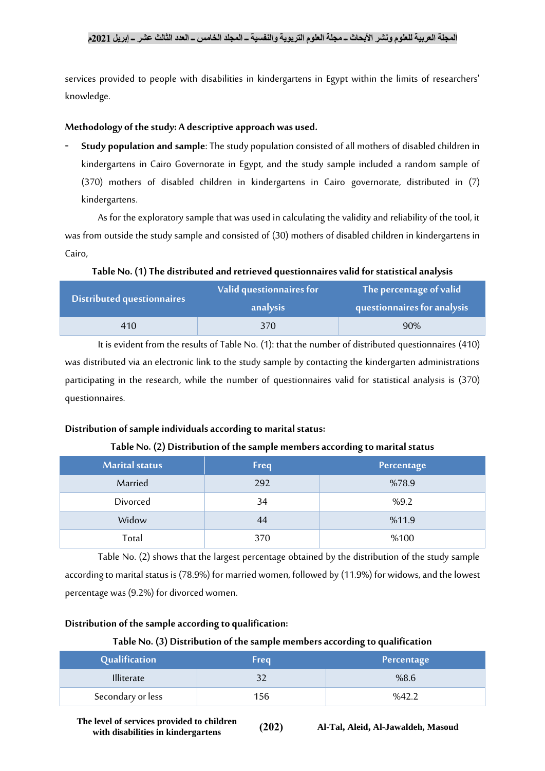services provided to people with disabilities in kindergartens in Egypt within the limits of researchers' knowledge.

## **Methodology of the study: A descriptive approach was used.**

- **Study population and sample**: The study population consisted of all mothers of disabled children in kindergartens in Cairo Governorate in Egypt, and the study sample included a random sample of (370) mothers of disabled children in kindergartens in Cairo governorate, distributed in (7) kindergartens.

As for the exploratory sample that was used in calculating the validity and reliability of the tool, it was from outside the study sample and consisted of (30) mothers of disabled children in kindergartens in Cairo,

## **Table No. (1) The distributed and retrieved questionnaires valid for statistical analysis**

| <b>Distributed questionnaires</b> | Valid questionnaires for<br>analysis |     |
|-----------------------------------|--------------------------------------|-----|
| 410                               | 370                                  | 90% |

It is evident from the results of Table No. (1): that the number of distributed questionnaires (410) was distributed via an electronic link to the study sample by contacting the kindergarten administrations participating in the research, while the number of questionnaires valid for statistical analysis is (370) questionnaires.

## **Distribution of sample individuals according to marital status:**

## **Table No. (2) Distribution of the sample members according to marital status**

| <b>Marital status</b> | <b>Freq</b> | Percentage |
|-----------------------|-------------|------------|
| Married               | 292         | %78.9      |
| Divorced              | 34          | %9.2       |
| Widow                 | 44          | %11.9      |
| Total                 | 370         | %100       |

Table No. (2) shows that the largest percentage obtained by the distribution of the study sample according to marital status is (78.9%) for married women, followed by(11.9%) for widows, and the lowest percentage was (9.2%) for divorced women.

## **Distribution of the sample according to qualification:**

## **Table No. (3) Distribution of the sample members according to qualification**

| Qualification     | <b>Freq</b> | Percentage |
|-------------------|-------------|------------|
| <b>Illiterate</b> |             | %8.6       |
| Secondary or less | 156         | %42.2      |

**The level of services provided to children i**<br>with disabilities in kindergartens  $(202)$  Al-Tal, Aleid, Al-Jawaldeh, Masoud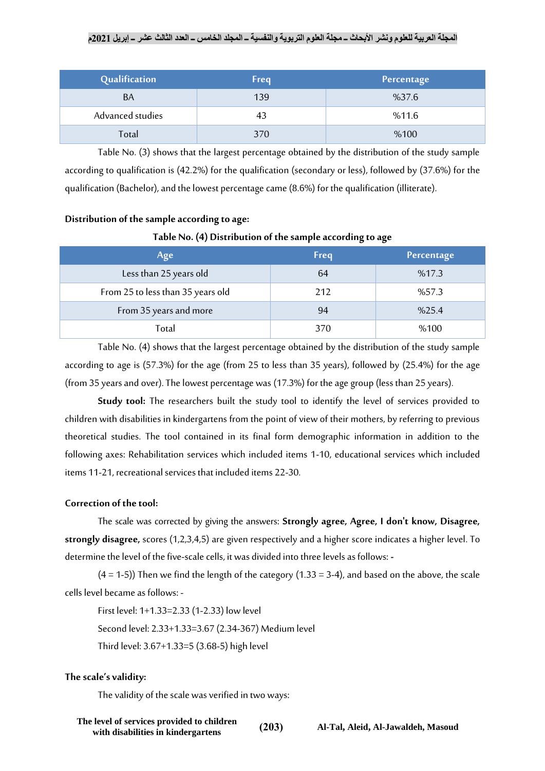| Qualification    | <b>Freq</b> | Percentage |
|------------------|-------------|------------|
| BA               | 139         | %37.6      |
| Advanced studies | 43          | %11.6      |
| Total            | 370         | %100       |

Table No. (3) shows that the largest percentage obtained by the distribution of the study sample according to qualification is (42.2%) for the qualification (secondary or less), followed by (37.6%) for the qualification (Bachelor), and the lowest percentage came(8.6%) for the qualification (illiterate).

## **Distribution of the sample according to age:**

## **Table No. (4) Distribution of the sample according to age**

| Age                               | <b>Freq</b> | Percentage |
|-----------------------------------|-------------|------------|
| Less than 25 years old            | 64          | %17.3      |
| From 25 to less than 35 years old | 212         | %57.3      |
| From 35 years and more            | 94          | %25.4      |
| Total                             | 370         | %100       |

Table No. (4) shows that the largest percentage obtained by the distribution of the study sample according to age is (57.3%) for the age (from 25 to less than 35 years), followed by (25.4%) for the age (from 35 years and over). The lowest percentage was (17.3%) for the age group (less than 25 years).

**Study tool:** The researchers built the study tool to identify the level of services provided to children with disabilities in kindergartens from the point of view of their mothers, by referring to previous theoretical studies. The tool contained in its final form demographic information in addition to the following axes: Rehabilitation services which included items 1-10, educational services which included items 11-21, recreational services that included items 22-30.

## **Correction of the tool:**

The scale was corrected by giving the answers: **Strongly agree, Agree, I don't know, Disagree, strongly disagree,** scores (1,2,3,4,5) are given respectively and a higher score indicates a higher level. To determine the level of the five-scale cells, it was divided into three levels as follows: **-**

 $(4 = 1-5)$ ) Then we find the length of the category  $(1.33 = 3-4)$ , and based on the above, the scale cells level became as follows: -

First level: 1+1.33=2.33 (1-2.33) low level Second level: 2.33+1.33=3.67 (2.34-367) Medium level Third level: 3.67+1.33=5 (3.68-5) high level

## **The scale's validity:**

The validity of the scale was verified in two ways: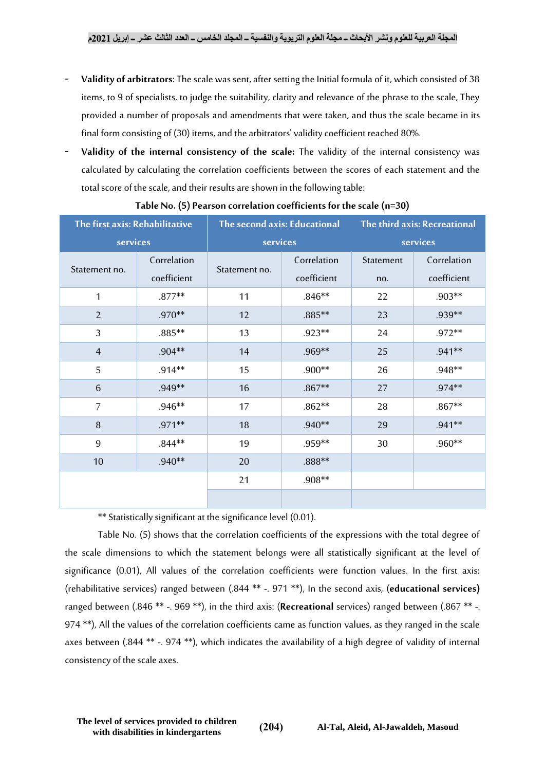- **Validity of arbitrators**: The scale was sent, after setting the Initial formula of it, which consisted of 38 items, to 9 of specialists, to judge the suitability, clarity and relevance of the phrase to the scale, They provided a number of proposals and amendments that were taken, and thus the scale became in its final form consisting of (30) items, and the arbitrators' validity coefficient reached 80%.
- **Validity of the internal consistency of the scale:** The validity of the internal consistency was calculated by calculating the correlation coefficients between the scores of each statement and the total score of the scale, and their results are shown in the following table:

| The first axis: Rehabilitative |                            | The second axis: Educational |                            | The third axis: Recreational |                            |  |
|--------------------------------|----------------------------|------------------------------|----------------------------|------------------------------|----------------------------|--|
| services                       |                            | services                     |                            |                              | services                   |  |
| Statement no.                  | Correlation<br>coefficient | Statement no.                | Correlation<br>coefficient | Statement<br>no.             | Correlation<br>coefficient |  |
| 1                              | $.877**$                   | 11                           | $.846**$                   | 22                           | .903**                     |  |
| $\overline{2}$                 | $.970**$                   | 12                           | .885**                     | 23                           | .939**                     |  |
| 3                              | .885**                     | 13                           | .923**                     | 24                           | .972**                     |  |
| $\overline{4}$                 | $.904**$                   | 14                           | .969**                     | 25                           | .941**                     |  |
| 5                              | $.914**$                   | 15                           | .900**                     | 26                           | .948**                     |  |
| 6                              | .949**                     | 16                           | $.867**$                   | 27                           | .974**                     |  |
| 7                              | $.946**$                   | 17                           | $.862**$                   | 28                           | $.867**$                   |  |
| 8                              | .971**                     | 18                           | $.940**$                   | 29                           | .941**                     |  |
| 9                              | $.844**$                   | 19                           | .959**                     | 30                           | .960**                     |  |
| 10                             | $.940**$                   | 20                           | .888**                     |                              |                            |  |
|                                |                            | 21                           | .908**                     |                              |                            |  |
|                                |                            |                              |                            |                              |                            |  |

|  |  | Table No. (5) Pearson correlation coefficients for the scale (n=30) |  |  |
|--|--|---------------------------------------------------------------------|--|--|
|--|--|---------------------------------------------------------------------|--|--|

\*\* Statistically significant at the significance level (0.01).

Table No. (5) shows that the correlation coefficients of the expressions with the total degree of the scale dimensions to which the statement belongs were all statistically significant at the level of significance (0.01), All values of the correlation coefficients were function values. In the first axis: (rehabilitative services) ranged between (.844 \*\* -. 971 \*\*), In the second axis, (**educational services)** ranged between (.846 \*\* -. 969 \*\*), in the third axis: (**Recreational** services) ranged between (.867 \*\* -. 974 \*\*), All the values of the correlation coefficients came as function values, as they ranged in the scale axes between (.844 \*\* -. 974 \*\*), which indicates the availability of a high degree of validity of internal consistency of the scale axes.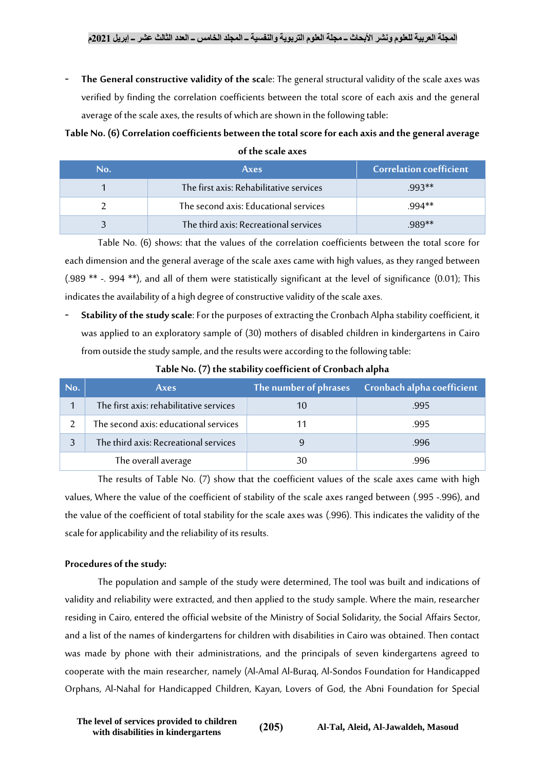The General constructive validity of the scale: The general structural validity of the scale axes was verified by finding the correlation coefficients between the total score of each axis and the general average of the scale axes, the results of which are shown in the following table:

## **Table No. (6) Correlation coefficients between the total score for each axis and the general average of the scale axes**

| No. | <b>Axes</b>                             | <b>Correlation coefficient</b> |
|-----|-----------------------------------------|--------------------------------|
|     | The first axis: Rehabilitative services | $993**$                        |
|     | The second axis: Educational services   | $994**$                        |
|     | The third axis: Recreational services   | $989**$                        |

Table No. (6) shows: that the values of the correlation coefficients between the total score for each dimension and the general average of the scale axes came with high values, as they ranged between (.989 \*\* -. 994 \*\*), and all of them were statistically significant at the level of significance (0.01); This indicates the availability of a high degree of constructive validity of the scale axes.

- **Stability of the study scale**: For the purposes of extracting the Cronbach Alpha stability coefficient, it was applied to an exploratory sample of (30) mothers of disabled children in kindergartens in Cairo from outside the study sample, and the results were according to the following table:

| No. | <b>Axes</b>                             | The number of phrases | Cronbach alpha coefficient |
|-----|-----------------------------------------|-----------------------|----------------------------|
|     | The first axis: rehabilitative services |                       | .995                       |
|     | The second axis: educational services   |                       | .995                       |
|     | The third axis: Recreational services   |                       | .996                       |
|     | The overall average                     | 30                    | .996                       |

**Table No. (7) the stability coefficient of Cronbach alpha**

The results of Table No. (7) show that the coefficient values of the scale axes came with high values, Where the value of the coefficient of stability of the scale axes ranged between (.995 -.996), and the value of the coefficient of total stability for the scale axes was (.996). This indicates the validity of the scale for applicability and the reliability of its results.

## **Procedures of the study:**

The population and sample of the study were determined, The tool was built and indications of validity and reliability were extracted, and then applied to the study sample. Where the main, researcher residing in Cairo, entered the official website of the Ministry of Social Solidarity, the Social Affairs Sector, and a list of the names of kindergartens for children with disabilities in Cairo was obtained. Then contact was made by phone with their administrations, and the principals of seven kindergartens agreed to cooperate with the main researcher, namely (Al-Amal Al-Buraq, Al-Sondos Foundation for Handicapped Orphans, Al-Nahal for Handicapped Children, Kayan, Lovers of God, the Abni Foundation for Special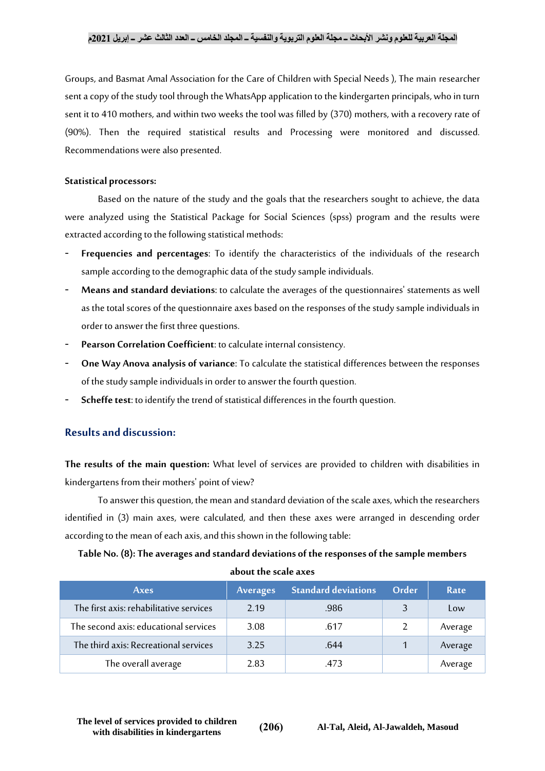Groups, and Basmat Amal Association for the Care of Children with Special Needs ), The main researcher sent a copy of the study tool through the WhatsApp application to the kindergarten principals, who in turn sent it to 410 mothers, and within two weeks the tool was filled by (370) mothers, with a recovery rate of (90%). Then the required statistical results and Processing were monitored and discussed. Recommendations were also presented.

#### **Statistical processors:**

Based on the nature of the study and the goals that the researchers sought to achieve, the data were analyzed using the Statistical Package for Social Sciences (spss) program and the results were extracted according to the following statistical methods:

- **Frequencies and percentages**: To identify the characteristics of the individuals of the research sample according to the demographic data of the study sample individuals.
- **Means and standard deviations**: to calculate the averages of the questionnaires' statements as well as the total scores of the questionnaire axes based on the responses of the study sample individuals in order to answer the first three questions.
- Pearson Correlation Coefficient: to calculate internal consistency.
- **One Way Anova analysis of variance**: To calculate the statistical differences between the responses of the study sample individuals in order to answer the fourth question.
- **Scheffe test**: to identify the trend of statistical differences in the fourth question.

## **Results and discussion:**

**The results of the main question:** What level of services are provided to children with disabilities in kindergartens from their mothers' point of view?

To answer this question, the mean and standard deviation of the scale axes, which the researchers identified in (3) main axes, were calculated, and then these axes were arranged in descending order according to the mean of each axis, and this shown in the following table:

## **Table No. (8): The averages and standard deviations of the responses of the sample members about the scale axes**

| Axes                                    | <b>Averages</b> | <b>Standard deviations</b> | Order | Rate    |
|-----------------------------------------|-----------------|----------------------------|-------|---------|
| The first axis: rehabilitative services | 2.19            | .986                       |       | Low     |
| The second axis: educational services   | 3.08            | .617                       |       | Average |
| The third axis: Recreational services   | 3.25            | .644                       |       | Average |
| The overall average                     | 2.83            | .473                       |       | Average |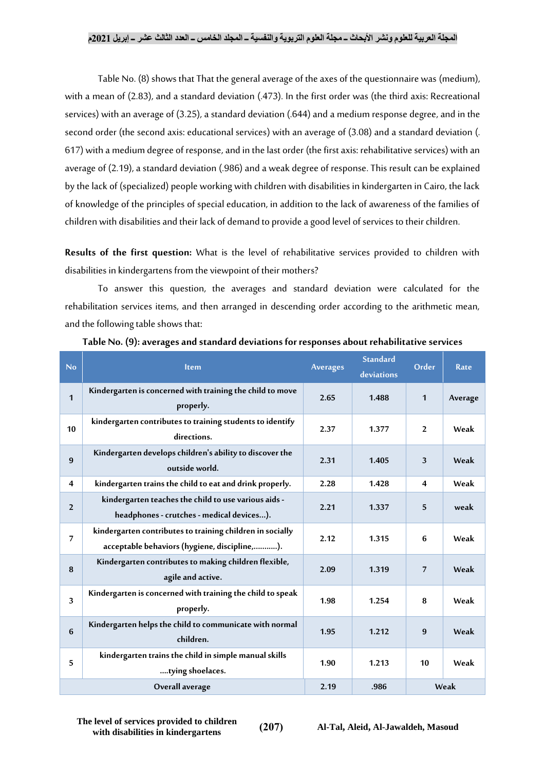Table No. (8) shows that That the general average of the axes of the questionnaire was (medium), with a mean of (2.83), and a standard deviation (.473). In the first order was (the third axis: Recreational services) with an average of (3.25), a standard deviation (.644) and a medium response degree, and in the second order (the second axis: educational services) with an average of (3.08) and a standard deviation (. 617) with a medium degree of response, and in the last order (the first axis: rehabilitative services) with an average of (2.19), a standard deviation (.986) and a weak degree of response.This result can be explained by the lack of (specialized) people working with children with disabilities in kindergarten in Cairo, the lack of knowledge of the principles of special education, in addition to the lack of awareness of the families of children with disabilities and their lack of demand to provide a good level of services to their children.

**Results of the first question:** What is the level of rehabilitative services provided to children with disabilities in kindergartens from the viewpoint of their mothers?

To answer this question, the averages and standard deviation were calculated for the rehabilitation services items, and then arranged in descending order according to the arithmetic mean, and the following table shows that:

| No             | <b>Item</b>                                                                                               | <b>Averages</b> | <b>Standard</b><br>deviations | Order                   | Rate    |
|----------------|-----------------------------------------------------------------------------------------------------------|-----------------|-------------------------------|-------------------------|---------|
| 1              | Kindergarten is concerned with training the child to move<br>properly.                                    | 2.65            | 1.488                         | $\mathbf{1}$            | Average |
| 10             | kindergarten contributes to training students to identify<br>directions.                                  | 2.37            | 1.377                         | $\overline{2}$          | Weak    |
| 9              | Kindergarten develops children's ability to discover the<br>outside world.                                | 2.31            | 1.405                         | 3                       | Weak    |
| 4              | kindergarten trains the child to eat and drink properly.                                                  | 2.28            | 1.428                         | $\overline{\mathbf{4}}$ | Weak    |
| $\overline{2}$ | kindergarten teaches the child to use various aids -<br>headphones - crutches - medical devices).         | 2.21            | 1.337                         | 5                       | weak    |
| 7              | kindergarten contributes to training children in socially<br>acceptable behaviors (hygiene, discipline,). | 2.12            | 1.315                         | 6                       | Weak    |
| 8              | Kindergarten contributes to making children flexible,<br>agile and active.                                | 2.09            | 1.319                         | $\overline{7}$          | Weak    |
| 3              | Kindergarten is concerned with training the child to speak<br>properly.                                   | 1.98            | 1.254                         | 8                       | Weak    |
| 6              | Kindergarten helps the child to communicate with normal<br>children.                                      | 1.95            | 1.212                         | 9                       | Weak    |
| 5              | kindergarten trains the child in simple manual skills<br>tying shoelaces.                                 | 1.90            | 1.213                         | 10                      | Weak    |
|                | Overall average                                                                                           | 2.19            | .986                          |                         | Weak    |

#### **Table No. (9): averages and standard deviations for responses about rehabilitative services**

**The level of services provided to children i**<br>with disabilities in kindergartens  $(207)$  Al-Tal, Aleid, Al-Jawaldeh, Masoud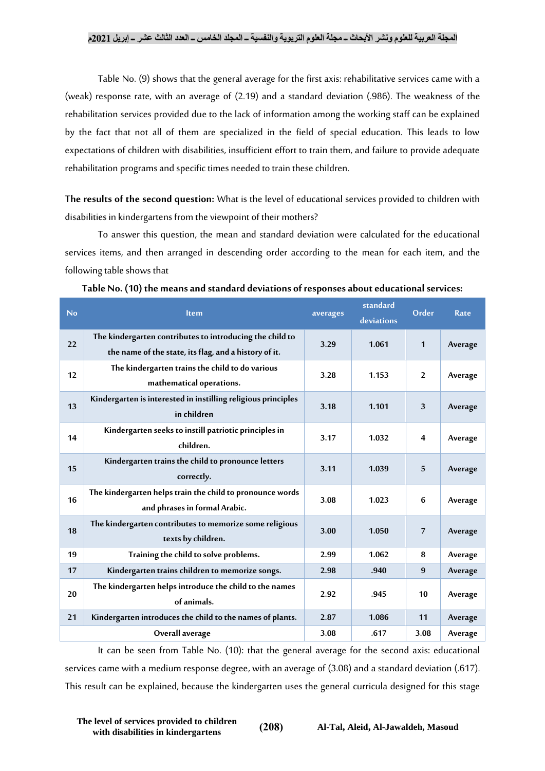Table No. (9) shows that the general average for the first axis: rehabilitative services came with a (weak) response rate, with an average of (2.19) and a standard deviation (.986). The weakness of the rehabilitation services provided due to the lack of information among the working staff can be explained by the fact that not all of them are specialized in the field of special education. This leads to low expectations of children with disabilities, insufficient effort to train them, and failure to provide adequate rehabilitation programs and specific times needed to train these children.

**The results of the second question:** What is the level of educational services provided to children with disabilities in kindergartens from the viewpoint of their mothers?

To answer this question, the mean and standard deviation were calculated for the educational services items, and then arranged in descending order according to the mean for each item, and the following table shows that

| No | <b>Item</b>                                                                                                       | averages | standard<br>deviations | Order          | Rate    |
|----|-------------------------------------------------------------------------------------------------------------------|----------|------------------------|----------------|---------|
| 22 | The kindergarten contributes to introducing the child to<br>the name of the state, its flag, and a history of it. | 3.29     | 1.061                  | 1              | Average |
| 12 | The kindergarten trains the child to do various<br>mathematical operations.                                       | 3.28     | 1.153                  | $\overline{2}$ | Average |
| 13 | Kindergarten is interested in instilling religious principles<br>in children                                      | 3.18     | 1.101                  | 3              | Average |
| 14 | Kindergarten seeks to instill patriotic principles in<br>children.                                                | 3.17     | 1.032                  | 4              | Average |
| 15 | Kindergarten trains the child to pronounce letters<br>correctly.                                                  | 3.11     | 1.039                  | 5              | Average |
| 16 | The kindergarten helps train the child to pronounce words<br>and phrases in formal Arabic.                        | 3.08     | 1.023                  | 6              | Average |
| 18 | The kindergarten contributes to memorize some religious<br>texts by children.                                     | 3.00     | 1.050                  | 7              | Average |
| 19 | Training the child to solve problems.                                                                             | 2.99     | 1.062                  | 8              | Average |
| 17 | Kindergarten trains children to memorize songs.                                                                   | 2.98     | .940                   | 9              | Average |
| 20 | The kindergarten helps introduce the child to the names<br>of animals.                                            | 2.92     | .945                   | 10             | Average |
| 21 | Kindergarten introduces the child to the names of plants.                                                         | 2.87     | 1.086                  | 11             | Average |
|    | Overall average                                                                                                   | 3.08     | .617                   | 3.08           | Average |

**Table No. (10) the means and standard deviations of responses about educational services:**

It can be seen from Table No. (10): that the general average for the second axis: educational services came with a medium response degree, with an average of (3.08) and a standard deviation (.617). This result can be explained, because the kindergarten uses the general curricula designed for this stage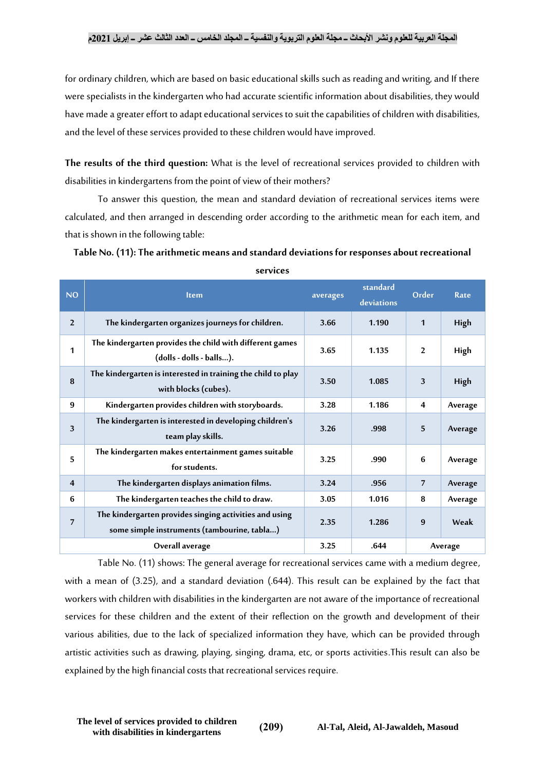for ordinary children, which are based on basic educational skills such as reading and writing, and If there were specialists in the kindergarten who had accurate scientific information about disabilities, they would have made a greater effort to adapt educational services to suit the capabilities of children with disabilities, and the level of these services provided to these children would have improved.

**The results of the third question:** What is the level of recreational services provided to children with disabilities in kindergartens from the point of view of their mothers?

To answer this question, the mean and standard deviation of recreational services items were calculated, and then arranged in descending order according to the arithmetic mean for each item, and that is shown in the following table:

| <b>NO</b>               | <b>Item</b>                                                                                           | averages | standard<br>deviations | Order          | Rate    |
|-------------------------|-------------------------------------------------------------------------------------------------------|----------|------------------------|----------------|---------|
| $\overline{2}$          | The kindergarten organizes journeys for children.                                                     | 3.66     | 1.190                  | 1              | High    |
| 1                       | The kindergarten provides the child with different games<br>(dolls - dolls - balls).                  | 3.65     | 1.135                  | 2              | High    |
| 8                       | The kindergarten is interested in training the child to play<br>with blocks (cubes).                  | 3.50     | 1.085                  | 3              | High    |
| 9                       | Kindergarten provides children with storyboards.                                                      | 3.28     | 1.186                  | 4              | Average |
| 3                       | The kindergarten is interested in developing children's<br>team play skills.                          | 3.26     | .998                   | 5              | Average |
| 5                       | The kindergarten makes entertainment games suitable<br>for students.                                  | 3.25     | .990                   | 6              | Average |
| $\overline{\mathbf{4}}$ | The kindergarten displays animation films.                                                            | 3.24     | .956                   | $\overline{7}$ | Average |
| 6                       | The kindergarten teaches the child to draw.                                                           | 3.05     | 1.016                  | 8              | Average |
| $\overline{7}$          | The kindergarten provides singing activities and using<br>some simple instruments (tambourine, tabla) | 2.35     | 1.286                  | 9              | Weak    |
|                         | Overall average                                                                                       | 3.25     | .644                   | Average        |         |

**Table No. (11): The arithmetic means and standard deviations for responses about recreational** 

**services**

Table No. (11) shows: The general average for recreational services came with a medium degree, with a mean of (3.25), and a standard deviation (.644). This result can be explained by the fact that workers with children with disabilities in the kindergarten are not aware of the importance of recreational services for these children and the extent of their reflection on the growth and development of their various abilities, due to the lack of specialized information they have, which can be provided through artistic activities such as drawing, playing, singing, drama, etc, or sports activities.This result can also be explained by the high financial costs that recreational services require.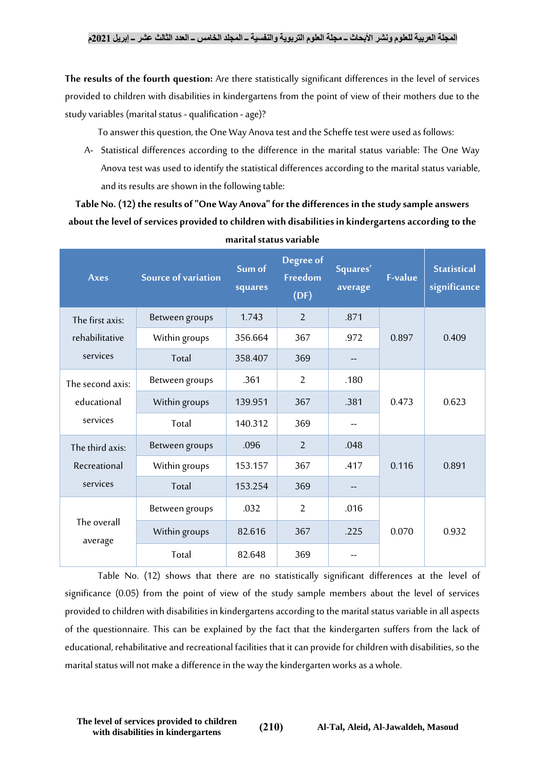**The results of the fourth question:** Are there statistically significant differences in the level of services provided to children with disabilities in kindergartens from the point of view of their mothers due to the study variables (marital status - qualification - age)?

To answer this question, the One Way Anova test and the Scheffe test were used as follows:

A- Statistical differences according to the difference in the marital status variable: The One Way Anova test was used to identify the statistical differences according to the marital status variable, and its results are shown in the following table:

## **Table No. (12) the results of "One Way Anova" for the differences in the study sample answers about the level of services provided to children with disabilities in kindergartens according to the marital status variable**

| <b>Axes</b>            | <b>Source of variation</b> | Sum of<br>squares | Degree of<br>Freedom<br>(DF) | Squares'<br>average | <b>F-value</b> | <b>Statistical</b><br>significance |
|------------------------|----------------------------|-------------------|------------------------------|---------------------|----------------|------------------------------------|
| The first axis:        | Between groups             | 1.743             | $\overline{2}$               | .871                | 0.897          | 0.409                              |
| rehabilitative         | Within groups              | 356.664           | 367                          | .972                |                |                                    |
| services               | Total                      | 358.407           | 369                          | $- -$               |                |                                    |
| The second axis:       | Between groups             | .361              | $\overline{2}$               | .180                | 0.473          | 0.623                              |
| educational            | Within groups              | 139.951           | 367                          | .381                |                |                                    |
| services               | Total                      | 140.312           | 369                          |                     |                |                                    |
| The third axis:        | Between groups             | .096              | $\overline{2}$               | .048                |                |                                    |
| Recreational           | Within groups              | 153.157           | 367                          | .417                | 0.116          | 0.891                              |
| services               | Total                      | 153.254           | 369                          | $- -$               |                |                                    |
|                        | Between groups             | .032              | $\overline{2}$               | .016                |                |                                    |
| The overall<br>average | Within groups              | 82.616            | 367                          | .225                | 0.070          | 0.932                              |
|                        | Total                      | 82.648            | 369                          |                     |                |                                    |

Table No. (12) shows that there are no statistically significant differences at the level of significance (0.05) from the point of view of the study sample members about the level of services provided to children with disabilities in kindergartens according to the marital status variable in all aspects of the questionnaire. This can be explained by the fact that the kindergarten suffers from the lack of educational, rehabilitative and recreational facilities that it can provide for children with disabilities, so the marital status will not make a difference in the way the kindergarten works as a whole.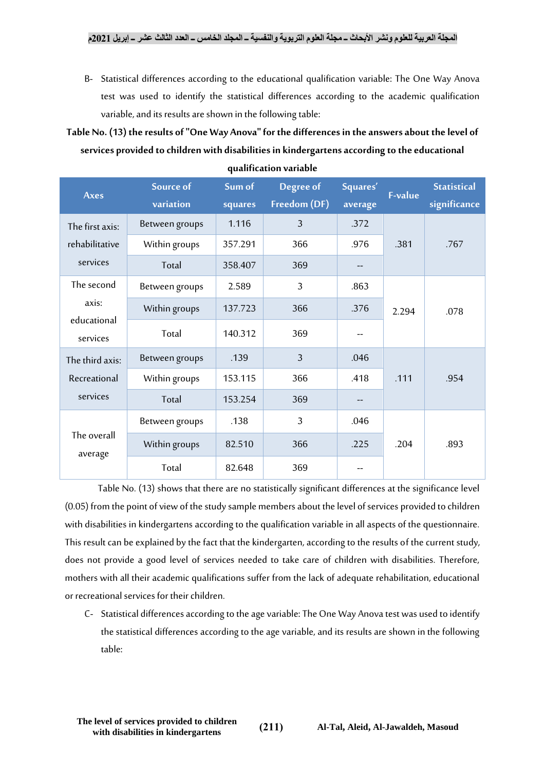B- Statistical differences according to the educational qualification variable: The One Way Anova test was used to identify the statistical differences according to the academic qualification variable, and its results are shown in the following table:

**Table No. (13) the results of "One Way Anova" for the differences in the answers about the level of services provided to children with disabilities in kindergartens according to the educational** 

| <b>Axes</b>             | Source of<br>variation | Sum of<br>squares | Degree of<br>Freedom (DF) | Squares'<br>average | <b>F-value</b> | <b>Statistical</b><br>significance |
|-------------------------|------------------------|-------------------|---------------------------|---------------------|----------------|------------------------------------|
| The first axis:         | Between groups         | 1.116             | $\overline{3}$            | .372                |                |                                    |
| rehabilitative          | Within groups          | 357.291           | 366                       | .976                | .381           | .767                               |
| services                | Total                  | 358.407           | 369                       |                     |                |                                    |
| The second              | Between groups         | 2.589             | $\overline{3}$            | .863                |                |                                    |
| axis:                   | Within groups          | 137.723           | 366                       | .376                | 2.294          | .078                               |
| educational<br>services | Total                  | 140.312           | 369                       |                     |                |                                    |
| The third axis:         | Between groups         | .139              | $\overline{3}$            | .046                |                |                                    |
| Recreational            | Within groups          | 153.115           | 366                       | .418                | .111           | .954                               |
| services                | Total                  | 153.254           | 369                       |                     |                |                                    |
|                         | Between groups         | .138              | $\overline{3}$            | .046                |                |                                    |
| The overall<br>average  | Within groups          | 82.510            | 366                       | .225                | .204           | .893                               |
|                         | Total                  | 82.648            | 369                       |                     |                |                                    |

**qualification variable**

Table No. (13) shows that there are no statistically significant differences at the significance level (0.05) from the point of view of the study sample members about the level of services provided to children with disabilities in kindergartens according to the qualification variable in all aspects of the questionnaire. This result can be explained by the fact that the kindergarten, according to the results of the current study, does not provide a good level of services needed to take care of children with disabilities. Therefore, mothers with all their academic qualifications suffer from the lack of adequate rehabilitation, educational or recreational services for their children.

C- Statistical differences according to the age variable: The One Way Anova test was used to identify the statistical differences according to the age variable, and its results are shown in the following table: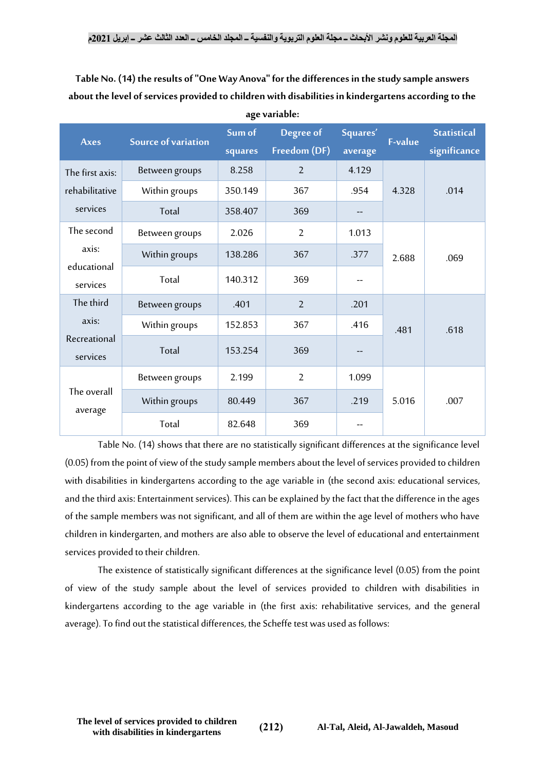**Table No. (14) the results of "One Way Anova" for the differences in the study sample answers about the level of services provided to children with disabilities in kindergartens according to the age variable:**

| <b>Axes</b>              | <b>Source of variation</b> | Sum of<br>squares | Degree of<br>Freedom (DF) | Squares'<br>average | <b>F-value</b> | <b>Statistical</b><br>significance |
|--------------------------|----------------------------|-------------------|---------------------------|---------------------|----------------|------------------------------------|
| The first axis:          | Between groups             | 8.258             | $\overline{2}$            | 4.129               |                |                                    |
| rehabilitative           | Within groups              | 350.149           | 367                       | .954                | 4.328          | .014                               |
| services                 | Total                      | 358.407           | 369                       |                     |                |                                    |
| The second               | Between groups             | 2.026             | $\overline{2}$            | 1.013               | 2.688          | .069                               |
| axis:                    | Within groups              | 138.286           | 367                       | .377                |                |                                    |
| educational<br>services  | Total                      | 140.312           | 369                       |                     |                |                                    |
| The third                | Between groups             | .401              | $\overline{2}$            | .201                |                |                                    |
| axis:                    | Within groups              | 152.853           | 367                       | .416                | .481           | .618                               |
| Recreational<br>services | Total                      | 153.254           | 369                       |                     |                |                                    |
|                          | Between groups             | 2.199             | $\overline{2}$            | 1.099               |                |                                    |
| The overall<br>average   | Within groups              | 80.449            | 367                       | .219                | 5.016          | .007                               |
|                          | Total                      | 82.648            | 369                       |                     |                |                                    |

Table No. (14) shows that there are no statistically significant differences at the significance level (0.05) from the point of view of the study sample members about the level of services provided to children with disabilities in kindergartens according to the age variable in (the second axis: educational services, and the third axis: Entertainment services). This can be explained by the fact that the difference in the ages of the sample members was not significant, and all of them are within the age level of mothers who have children in kindergarten, and mothers are also able to observe the level of educational and entertainment services provided to their children.

The existence of statistically significant differences at the significance level (0.05) from the point of view of the study sample about the level of services provided to children with disabilities in kindergartens according to the age variable in (the first axis: rehabilitative services, and the general average).To find out the statistical differences, the Scheffe test was used as follows: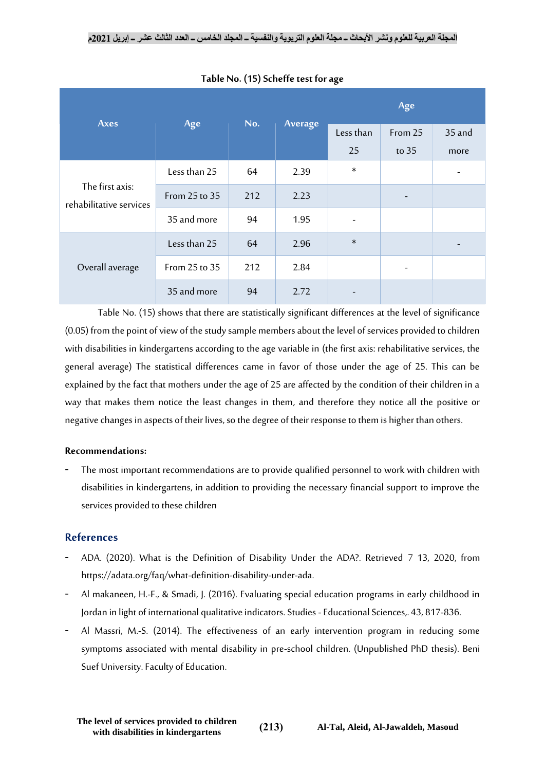|                                            | Age           | No. |         | Age                      |         |        |  |
|--------------------------------------------|---------------|-----|---------|--------------------------|---------|--------|--|
| <b>Axes</b>                                |               |     | Average | Less than                | From 25 | 35 and |  |
|                                            |               |     |         | 25                       | to 35   | more   |  |
|                                            | Less than 25  | 64  | 2.39    | $\ast$                   |         |        |  |
| The first axis:<br>rehabilitative services | From 25 to 35 | 212 | 2.23    |                          |         |        |  |
|                                            | 35 and more   | 94  | 1.95    | $\overline{\phantom{a}}$ |         |        |  |
|                                            | Less than 25  | 64  | 2.96    | $\ast$                   |         |        |  |
| Overall average                            | From 25 to 35 | 212 | 2.84    |                          |         |        |  |
|                                            | 35 and more   | 94  | 2.72    |                          |         |        |  |

**Table No. (15) Scheffe test for age**

Table No. (15) shows that there are statistically significant differences at the level of significance (0.05) from the point of view of the study sample members about the level of services provided to children with disabilities in kindergartens according to the age variable in (the first axis: rehabilitative services, the general average) The statistical differences came in favor of those under the age of 25. This can be explained by the fact that mothers under the age of 25 are affected by the condition of their children in a way that makes them notice the least changes in them, and therefore they notice all the positive or negative changes in aspects of their lives, so the degree of their response to them is higher than others.

#### **Recommendations:**

The most important recommendations are to provide qualified personnel to work with children with disabilities in kindergartens, in addition to providing the necessary financial support to improve the services provided to these children

#### **References**

- ADA. (2020). What is the Definition of Disability Under the ADA?. Retrieved 7 13, 2020, from https://adata.org/faq/what-definition-disability-under-ada.
- Al makaneen, H.-F., & Smadi, J. (2016). Evaluating special education programs in early childhood in Jordan in light of international qualitative indicators. Studies - Educational Sciences,. 43, 817-836.
- Al Massri, M.-S. (2014). The effectiveness of an early intervention program in reducing some symptoms associated with mental disability in pre-school children. (Unpublished PhD thesis). Beni Suef University. Faculty of Education.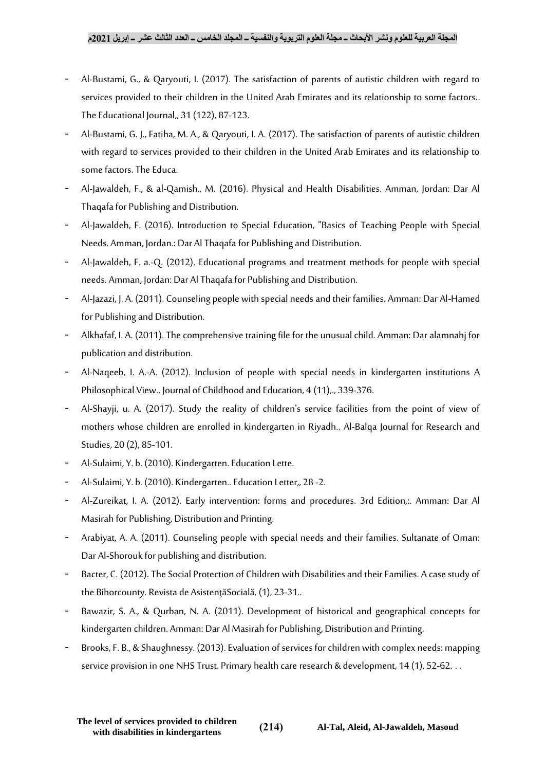- Al-Bustami, G., & Qaryouti, I. (2017). The satisfaction of parents of autistic children with regard to services provided to their children in the United Arab Emirates and its relationship to some factors.. The Educational Journal,, 31 (122), 87-123.
- Al-Bustami, G. J., Fatiha, M. A., & Qaryouti, I. A. (2017). The satisfaction of parents of autistic children with regard to services provided to their children in the United Arab Emirates and its relationship to some factors. The Educa.
- Al-Jawaldeh, F., & al-Qamish,, M. (2016). Physical and Health Disabilities. Amman, Jordan: Dar Al Thaqafa for Publishing and Distribution.
- Al-Jawaldeh, F. (2016). Introduction to Special Education, "Basics of Teaching People with Special Needs. Amman, Jordan.: Dar Al Thaqafa for Publishing and Distribution.
- Al-Jawaldeh, F. a.-Q. (2012). Educational programs and treatment methods for people with special needs. Amman, Jordan: Dar Al Thaqafa for Publishing and Distribution.
- Al-Jazazi, J. A. (2011). Counseling people with special needs and their families. Amman: Dar Al-Hamed for Publishing and Distribution.
- Alkhafaf, I. A. (2011). The comprehensive training file for the unusual child. Amman: Dar alamnahj for publication and distribution.
- Al-Naqeeb, I. A.-A. (2012). Inclusion of people with special needs in kindergarten institutions A Philosophical View.. Journal of Childhood and Education, 4 (11), 339-376.
- Al-Shayji, u. A. (2017). Study the reality of children's service facilities from the point of view of mothers whose children are enrolled in kindergarten in Riyadh.. Al-Balqa Journal for Research and Studies, 20 (2), 85-101.
- Al-Sulaimi, Y. b. (2010). Kindergarten. Education Lette.
- Al-Sulaimi, Y. b. (2010). Kindergarten.. Education Letter,, 28 -2.
- Al-Zureikat, I. A. (2012). Early intervention: forms and procedures. 3rd Edition,:. Amman: Dar Al Masirah for Publishing, Distribution and Printing.
- Arabiyat, A. A. (2011). Counseling people with special needs and their families. Sultanate of Oman: Dar Al-Shorouk for publishing and distribution.
- Bacter, C. (2012). The Social Protection of Children with Disabilities and their Families. A case study of the Bihorcounty. Revista de AsistenţăSocială, (1), 23-31..
- Bawazir, S. A., & Qurban, N. A. (2011). Development of historical and geographical concepts for kindergarten children. Amman: Dar Al Masirah for Publishing, Distribution and Printing.
- Brooks, F. B., & Shaughnessy. (2013). Evaluation of services for children with complex needs: mapping service provision in one NHS Trust. Primary health care research & development, 14 (1), 52-62. . .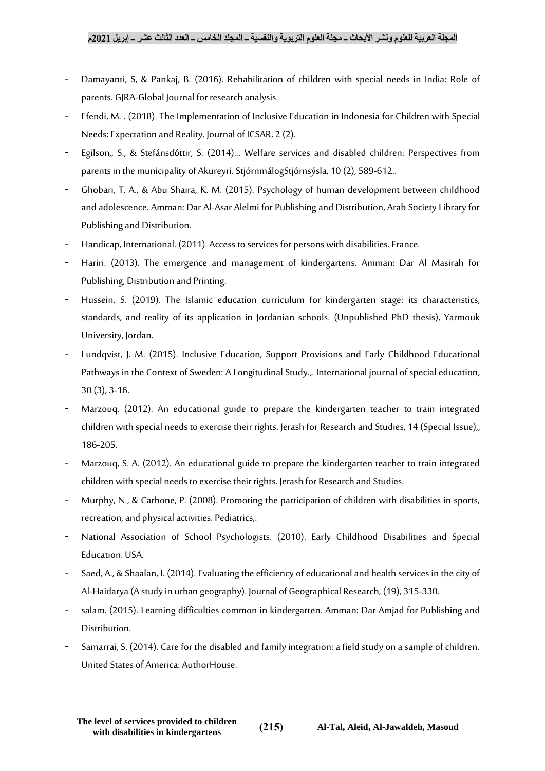- Damayanti, S, & Pankaj, B. (2016). Rehabilitation of children with special needs in India: Role of parents. GJRA-Global Journal for research analysis.
- Efendi, M. . (2018). The Implementation of Inclusive Education in Indonesia for Children with Special Needs: Expectation and Reality. Journal of ICSAR, 2 (2).
- Egilson,, S., & Stefánsdóttir, S. (2014)... Welfare services and disabled children: Perspectives from parents in the municipality of Akureyri. StjórnmálogStjórnsýsla, 10 (2), 589-612..
- Ghobari, T. A., & Abu Shaira, K. M. (2015). Psychology of human development between childhood and adolescence. Amman: Dar Al-Asar Alelmi for Publishing and Distribution, Arab Society Library for Publishing and Distribution.
- Handicap, International. (2011). Access to services for persons with disabilities. France.
- Hariri. (2013). The emergence and management of kindergartens. Amman: Dar Al Masirah for Publishing, Distribution and Printing.
- Hussein, S. (2019). The Islamic education curriculum for kindergarten stage: its characteristics, standards, and reality of its application in Jordanian schools. (Unpublished PhD thesis), Yarmouk University, Jordan.
- Lundqvist, J. M. (2015). Inclusive Education, Support Provisions and Early Childhood Educational Pathways in the Context of Sweden: A Longitudinal Study.,. International journal of special education, 30 (3), 3-16.
- Marzoug. (2012). An educational guide to prepare the kindergarten teacher to train integrated children with special needs to exercise their rights. Jerash for Research and Studies, 14 (Special Issue),, 186-205.
- Marzouq, S. A. (2012). An educational guide to prepare the kindergarten teacher to train integrated children with special needs to exercise their rights. Jerash for Research and Studies.
- Murphy, N., & Carbone, P. (2008). Promoting the participation of children with disabilities in sports, recreation, and physical activities. Pediatrics,.
- National Association of School Psychologists. (2010). Early Childhood Disabilities and Special Education. USA.
- Saed, A., & Shaalan, I. (2014). Evaluating the efficiency of educational and health services in the city of Al-Haidarya(A study in urban geography). Journal of Geographical Research, (19), 315-330.
- salam. (2015). Learning difficulties common in kindergarten. Amman: Dar Amjad for Publishing and Distribution.
- Samarrai, S. (2014). Care for the disabled and family integration: a field study on a sample of children. United States of America: AuthorHouse.